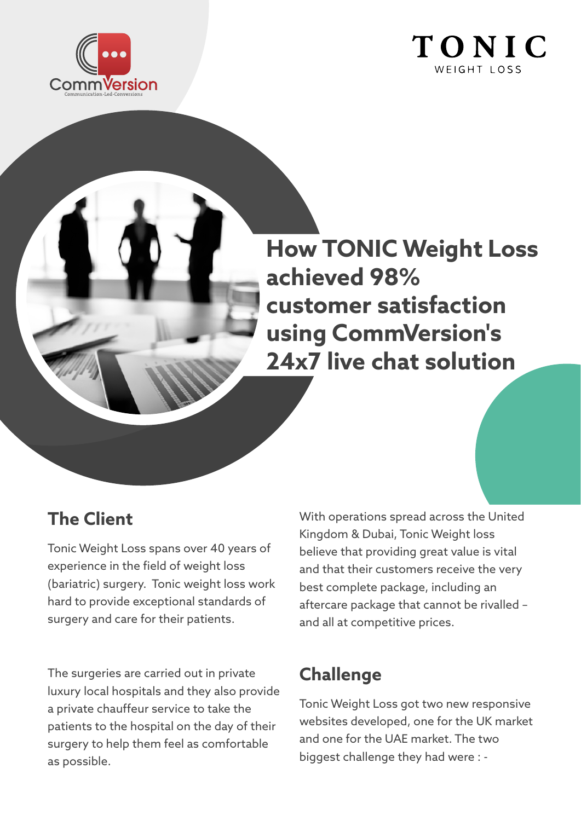



**How TONIC Weight Loss achieved 98% customer satisfaction using CommVersion's 24x7 live chat solution**

## **The Client**

Tonic Weight Loss spans over 40 years of experience in the field of weight loss (bariatric) surgery. Tonic weight loss work hard to provide exceptional standards of surgery and care for their patients.

The surgeries are carried out in private luxury local hospitals and they also provide a private chauffeur service to take the patients to the hospital on the day of their surgery to help them feel as comfortable as possible.

With operations spread across the United Kingdom & Dubai, Tonic Weight loss believe that providing great value is vital and that their customers receive the very best complete package, including an aftercare package that cannot be rivalled – and all at competitive prices.

## **Challenge**

Tonic Weight Loss got two new responsive websites developed, one for the UK market and one for the UAE market. The two biggest challenge they had were : -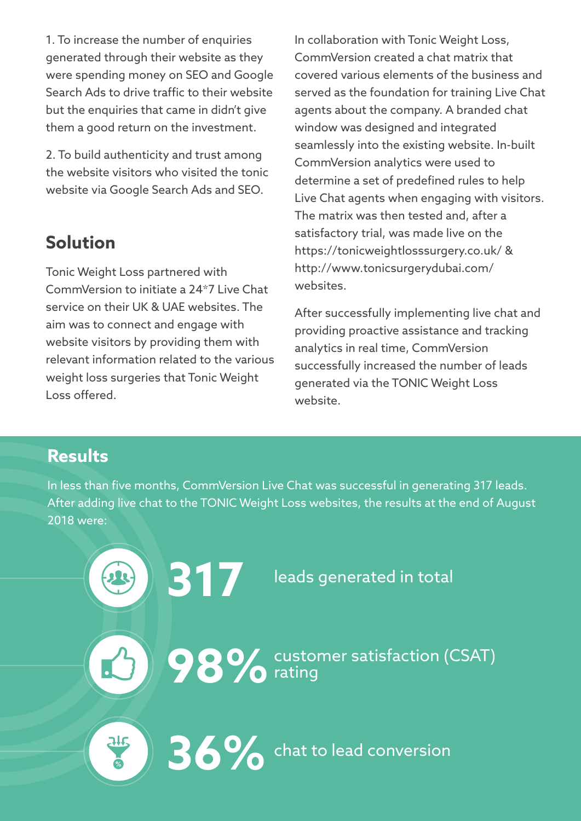1. To increase the number of enquiries generated through their website as they were spending money on SEO and Google Search Ads to drive traffic to their website but the enquiries that came in didn't give them a good return on the investment.

2. To build authenticity and trust among the website visitors who visited the tonic website via Google Search Ads and SEO.

# **Solution**

Tonic Weight Loss partnered with CommVersion to initiate a 24\*7 Live Chat service on their UK & UAE websites. The aim was to connect and engage with website visitors by providing them with relevant information related to the various weight loss surgeries that Tonic Weight Loss offered.

In collaboration with Tonic Weight Loss, CommVersion created a chat matrix that covered various elements of the business and served as the foundation for training Live Chat agents about the company. A branded chat window was designed and integrated seamlessly into the existing website. In-built CommVersion analytics were used to determine a set of predefined rules to help Live Chat agents when engaging with visitors. The matrix was then tested and, after a satisfactory trial, was made live on the https://tonicweightlosssurgery.co.uk/ & http://www.tonicsurgerydubai.com/ websites.

After successfully implementing live chat and providing proactive assistance and tracking analytics in real time, CommVersion successfully increased the number of leads generated via the TONIC Weight Loss website.

### **Results**

In less than five months, CommVersion Live Chat was successful in generating 317 leads. After adding live chat to the TONIC Weight Loss websites, the results at the end of August 2018 were:

**317** leads generated in total

**98%** customer satisfaction (CSAT) rating

**36%** chat to lead conversion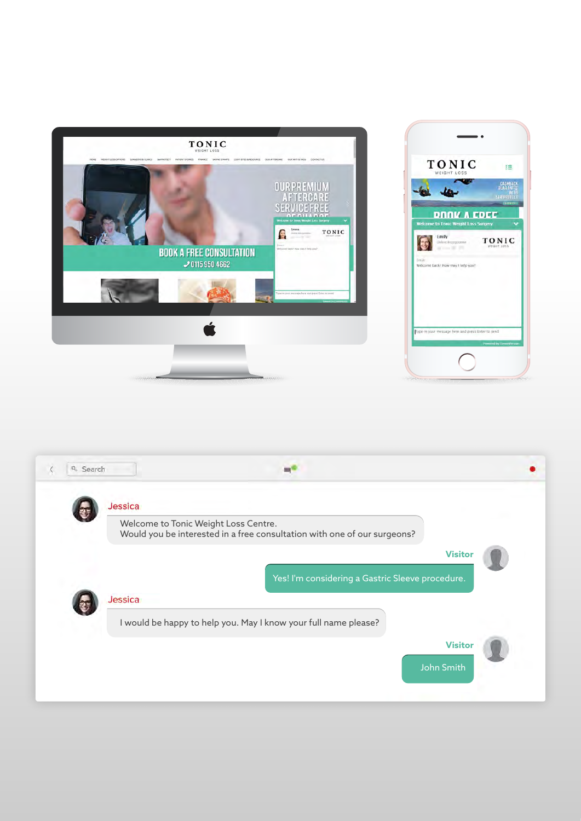